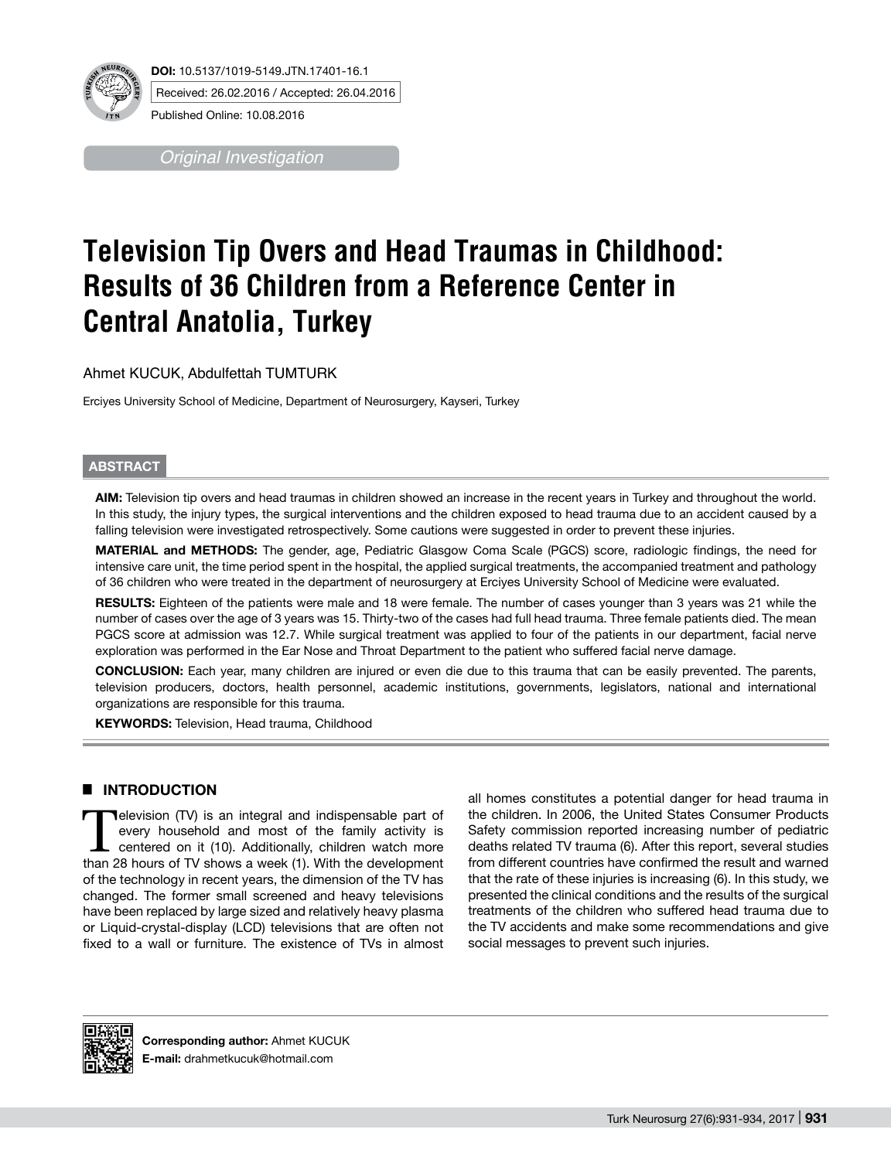

Received: 26.02.2016 / Accepted: 26.04.2016

*Original Investigation*

# **Television Tip Overs and Head Traumas in Childhood: Results of 36 Children from a Reference Center in Central Anatolia, Turkey**

Ahmet KUCUK, Abdulfettah TUMTURK

Erciyes University School of Medicine, Department of Neurosurgery, Kayseri, Turkey

### **ABSTRACT**

**AIm:** Television tip overs and head traumas in children showed an increase in the recent years in Turkey and throughout the world. In this study, the injury types, the surgical interventions and the children exposed to head trauma due to an accident caused by a falling television were investigated retrospectively. Some cautions were suggested in order to prevent these injuries.

**MaterIal and Methods:** The gender, age, Pediatric Glasgow Coma Scale (PGCS) score, radiologic findings, the need for intensive care unit, the time period spent in the hospital, the applied surgical treatments, the accompanied treatment and pathology of 36 children who were treated in the department of neurosurgery at Erciyes University School of Medicine were evaluated.

**RESULTS:** Eighteen of the patients were male and 18 were female. The number of cases younger than 3 years was 21 while the number of cases over the age of 3 years was 15. Thirty-two of the cases had full head trauma. Three female patients died. The mean PGCS score at admission was 12.7. While surgical treatment was applied to four of the patients in our department, facial nerve exploration was performed in the Ear Nose and Throat Department to the patient who suffered facial nerve damage.

**ConclusIon:** Each year, many children are injured or even die due to this trauma that can be easily prevented. The parents, television producers, doctors, health personnel, academic institutions, governments, legislators, national and international organizations are responsible for this trauma.

**Keywords:** Television, Head trauma, Childhood

## █ **INTRODUCTION**

Television (TV) is an integral and indispensable part of<br>
every household and most of the family activity is<br>
centered on it (10). Additionally, children watch more<br>
than 28 hours of TV shows a week (1). With the developme every household and most of the family activity is than 28 hours of TV shows a week (1). With the development of the technology in recent years, the dimension of the TV has changed. The former small screened and heavy televisions have been replaced by large sized and relatively heavy plasma or Liquid-crystal-display (LCD) televisions that are often not fixed to a wall or furniture. The existence of TVs in almost all homes constitutes a potential danger for head trauma in the children. In 2006, the United States Consumer Products Safety commission reported increasing number of pediatric deaths related TV trauma (6). After this report, several studies from different countries have confirmed the result and warned that the rate of these injuries is increasing (6). In this study, we presented the clinical conditions and the results of the surgical treatments of the children who suffered head trauma due to the TV accidents and make some recommendations and give social messages to prevent such injuries.



**Corresponding author:** Ahmet KUCUK **E-mail:** drahmetkucuk@hotmail.com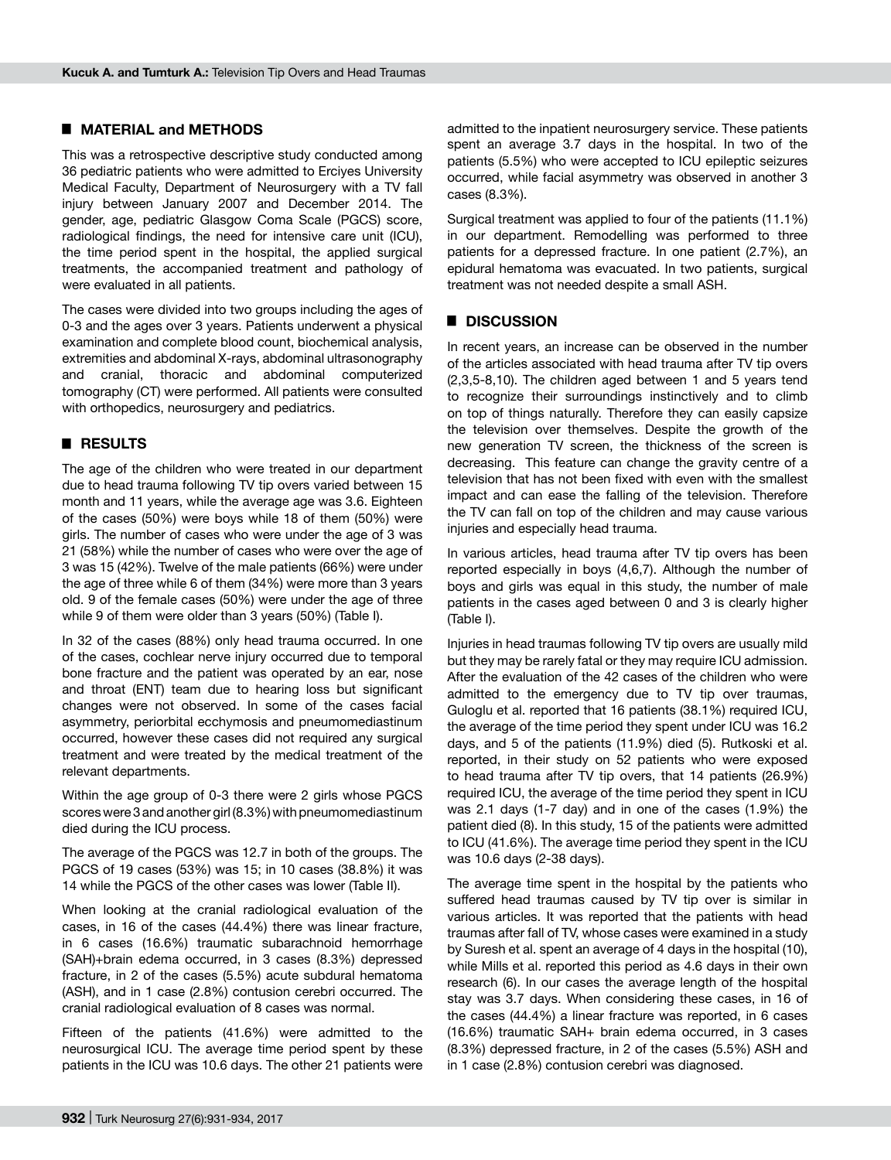#### █ **MATERIAL and METHODS**

This was a retrospective descriptive study conducted among 36 pediatric patients who were admitted to Erciyes University Medical Faculty, Department of Neurosurgery with a TV fall injury between January 2007 and December 2014. The gender, age, pediatric Glasgow Coma Scale (PGCS) score, radiological findings, the need for intensive care unit (ICU), the time period spent in the hospital, the applied surgical treatments, the accompanied treatment and pathology of were evaluated in all patients.

The cases were divided into two groups including the ages of 0-3 and the ages over 3 years. Patients underwent a physical examination and complete blood count, biochemical analysis, extremities and abdominal X-rays, abdominal ultrasonography and cranial, thoracic and abdominal computerized tomography (CT) were performed. All patients were consulted with orthopedics, neurosurgery and pediatrics.

#### █ **RESULTS**

The age of the children who were treated in our department due to head trauma following TV tip overs varied between 15 month and 11 years, while the average age was 3.6. Eighteen of the cases (50%) were boys while 18 of them (50%) were girls. The number of cases who were under the age of 3 was 21 (58%) while the number of cases who were over the age of 3 was 15 (42%). Twelve of the male patients (66%) were under the age of three while 6 of them (34%) were more than 3 years old. 9 of the female cases (50%) were under the age of three while 9 of them were older than 3 years (50%) (Table I).

In 32 of the cases (88%) only head trauma occurred. In one of the cases, cochlear nerve injury occurred due to temporal bone fracture and the patient was operated by an ear, nose and throat (ENT) team due to hearing loss but significant changes were not observed. In some of the cases facial asymmetry, periorbital ecchymosis and pneumomediastinum occurred, however these cases did not required any surgical treatment and were treated by the medical treatment of the relevant departments.

Within the age group of 0-3 there were 2 girls whose PGCS scores were 3 and another girl (8.3%) with pneumomediastinum died during the ICU process.

The average of the PGCS was 12.7 in both of the groups. The PGCS of 19 cases (53%) was 15; in 10 cases (38.8%) it was 14 while the PGCS of the other cases was lower (Table II).

When looking at the cranial radiological evaluation of the cases, in 16 of the cases (44.4%) there was linear fracture, in 6 cases (16.6%) traumatic subarachnoid hemorrhage (SAH)+brain edema occurred, in 3 cases (8.3%) depressed fracture, in 2 of the cases (5.5%) acute subdural hematoma (ASH), and in 1 case (2.8%) contusion cerebri occurred. The cranial radiological evaluation of 8 cases was normal.

Fifteen of the patients (41.6%) were admitted to the neurosurgical ICU. The average time period spent by these patients in the ICU was 10.6 days. The other 21 patients were

admitted to the inpatient neurosurgery service. These patients spent an average 3.7 days in the hospital. In two of the patients (5.5%) who were accepted to ICU epileptic seizures occurred, while facial asymmetry was observed in another 3 cases (8.3%).

Surgical treatment was applied to four of the patients (11.1%) in our department. Remodelling was performed to three patients for a depressed fracture. In one patient (2.7%), an epidural hematoma was evacuated. In two patients, surgical treatment was not needed despite a small ASH.

#### █ **DISCUSSION**

In recent years, an increase can be observed in the number of the articles associated with head trauma after TV tip overs (2,3,5-8,10). The children aged between 1 and 5 years tend to recognize their surroundings instinctively and to climb on top of things naturally. Therefore they can easily capsize the television over themselves. Despite the growth of the new generation TV screen, the thickness of the screen is decreasing. This feature can change the gravity centre of a television that has not been fixed with even with the smallest impact and can ease the falling of the television. Therefore the TV can fall on top of the children and may cause various injuries and especially head trauma.

In various articles, head trauma after TV tip overs has been reported especially in boys (4,6,7). Although the number of boys and girls was equal in this study, the number of male patients in the cases aged between 0 and 3 is clearly higher (Table I).

Injuries in head traumas following TV tip overs are usually mild but they may be rarely fatal or they may require ICU admission. After the evaluation of the 42 cases of the children who were admitted to the emergency due to TV tip over traumas, Guloglu et al. reported that 16 patients (38.1%) required ICU, the average of the time period they spent under ICU was 16.2 days, and 5 of the patients (11.9%) died (5). Rutkoski et al. reported, in their study on 52 patients who were exposed to head trauma after TV tip overs, that 14 patients (26.9%) required ICU, the average of the time period they spent in ICU was 2.1 days (1-7 day) and in one of the cases (1.9%) the patient died (8). In this study, 15 of the patients were admitted to ICU (41.6%). The average time period they spent in the ICU was 10.6 days (2-38 days).

The average time spent in the hospital by the patients who suffered head traumas caused by TV tip over is similar in various articles. It was reported that the patients with head traumas after fall of TV, whose cases were examined in a study by Suresh et al. spent an average of 4 days in the hospital (10), while Mills et al. reported this period as 4.6 days in their own research (6). In our cases the average length of the hospital stay was 3.7 days. When considering these cases, in 16 of the cases (44.4%) a linear fracture was reported, in 6 cases (16.6%) traumatic SAH+ brain edema occurred, in 3 cases (8.3%) depressed fracture, in 2 of the cases (5.5%) ASH and in 1 case (2.8%) contusion cerebri was diagnosed.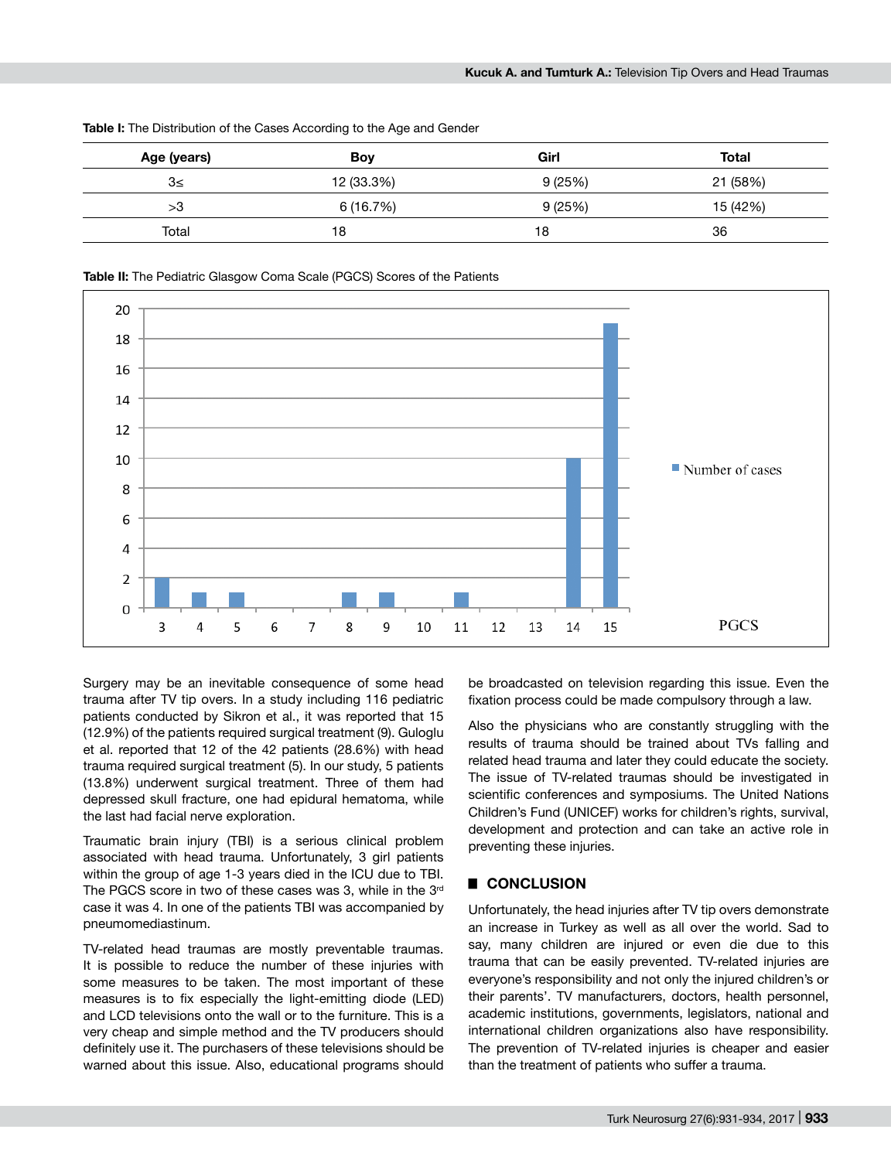| Age (years) | Boy        | Girl   | Total    |
|-------------|------------|--------|----------|
| 3≤          | 12 (33.3%) | 9(25%) | 21 (58%) |
| >3          | 6 (16.7%)  | 9(25%) | 15 (42%) |
| Total       | 18         | 18     | 36       |

**Table I:** The Distribution of the Cases According to the Age and Gender



**Table II:** The Pediatric Glasgow Coma Scale (PGCS) Scores of the Patients

Surgery may be an inevitable consequence of some head trauma after TV tip overs. In a study including 116 pediatric patients conducted by Sikron et al., it was reported that 15 (12.9%) of the patients required surgical treatment (9). Guloglu et al. reported that 12 of the 42 patients (28.6%) with head trauma required surgical treatment (5). In our study, 5 patients (13.8%) underwent surgical treatment. Three of them had depressed skull fracture, one had epidural hematoma, while the last had facial nerve exploration.

Traumatic brain injury (TBI) is a serious clinical problem associated with head trauma. Unfortunately, 3 girl patients within the group of age 1-3 years died in the ICU due to TBI. The PGCS score in two of these cases was 3, while in the 3<sup>rd</sup> case it was 4. In one of the patients TBI was accompanied by pneumomediastinum.

TV-related head traumas are mostly preventable traumas. It is possible to reduce the number of these injuries with some measures to be taken. The most important of these measures is to fix especially the light-emitting diode (LED) and LCD televisions onto the wall or to the furniture. This is a very cheap and simple method and the TV producers should definitely use it. The purchasers of these televisions should be warned about this issue. Also, educational programs should

be broadcasted on television regarding this issue. Even the fixation process could be made compulsory through a law.

Also the physicians who are constantly struggling with the results of trauma should be trained about TVs falling and related head trauma and later they could educate the society. The issue of TV-related traumas should be investigated in scientific conferences and symposiums. The United Nations Children's Fund (UNICEF) works for children's rights, survival, development and protection and can take an active role in preventing these injuries.

#### █ **CONCLUSION**

Unfortunately, the head injuries after TV tip overs demonstrate an increase in Turkey as well as all over the world. Sad to say, many children are injured or even die due to this trauma that can be easily prevented. TV-related injuries are everyone's responsibility and not only the injured children's or their parents'. TV manufacturers, doctors, health personnel, academic institutions, governments, legislators, national and international children organizations also have responsibility. The prevention of TV-related injuries is cheaper and easier than the treatment of patients who suffer a trauma.